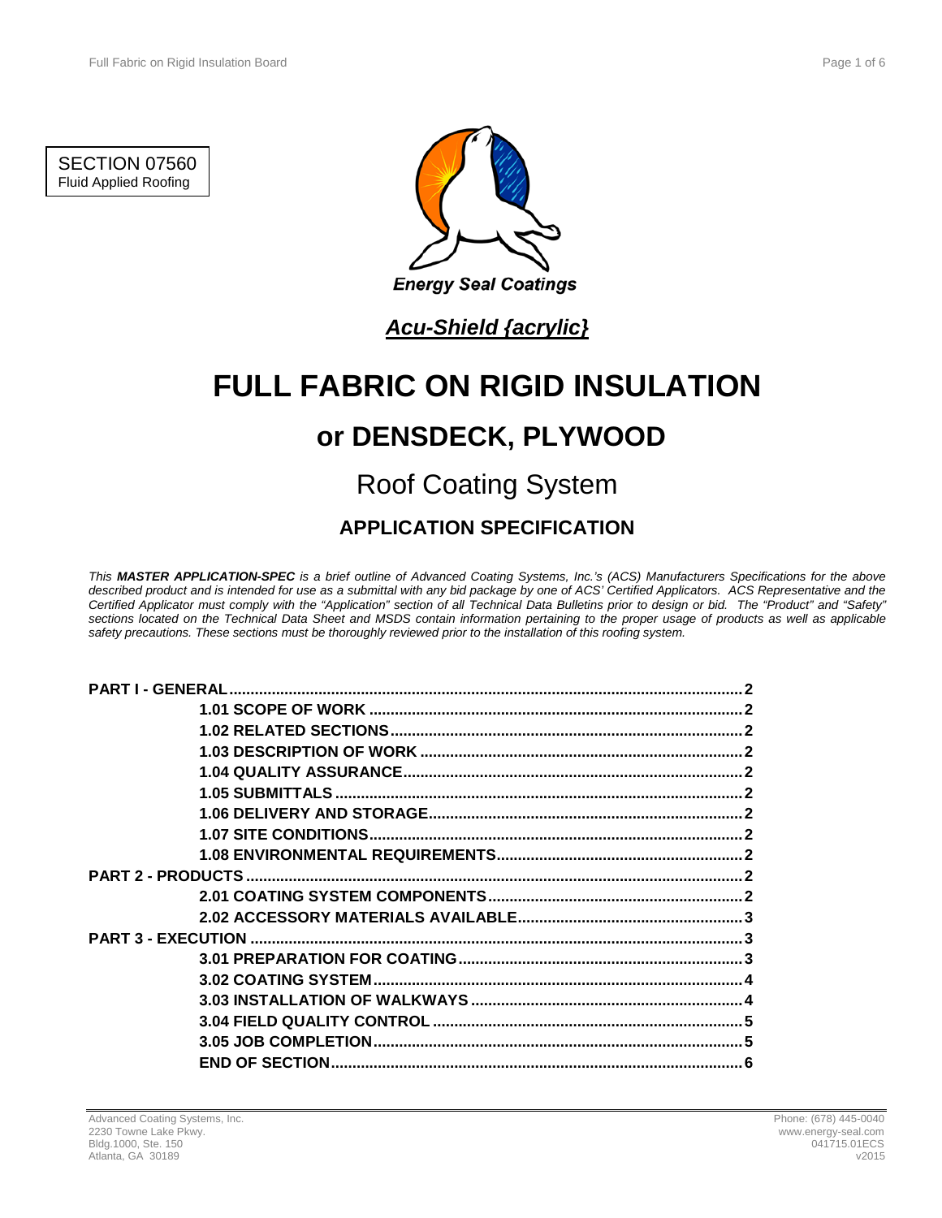SECTION 07560 Fluid Applied Roofing



## *Acu-Shield {acrylic}*

# **FULL FABRIC ON RIGID INSULATION**

## **or DENSDECK, PLYWOOD**

## Roof Coating System

## **APPLICATION SPECIFICATION**

*This MASTER APPLICATION-SPEC is a brief outline of Advanced Coating Systems, Inc.'s (ACS) Manufacturers Specifications for the above described product and is intended for use as a submittal with any bid package by one of ACS' Certified Applicators. ACS Representative and the Certified Applicator must comply with the "Application" section of all Technical Data Bulletins prior to design or bid. The "Product" and "Safety"*  sections located on the Technical Data Sheet and MSDS contain information pertaining to the proper usage of products as well as applicable *safety precautions. These sections must be thoroughly reviewed prior to the installation of this roofing system.*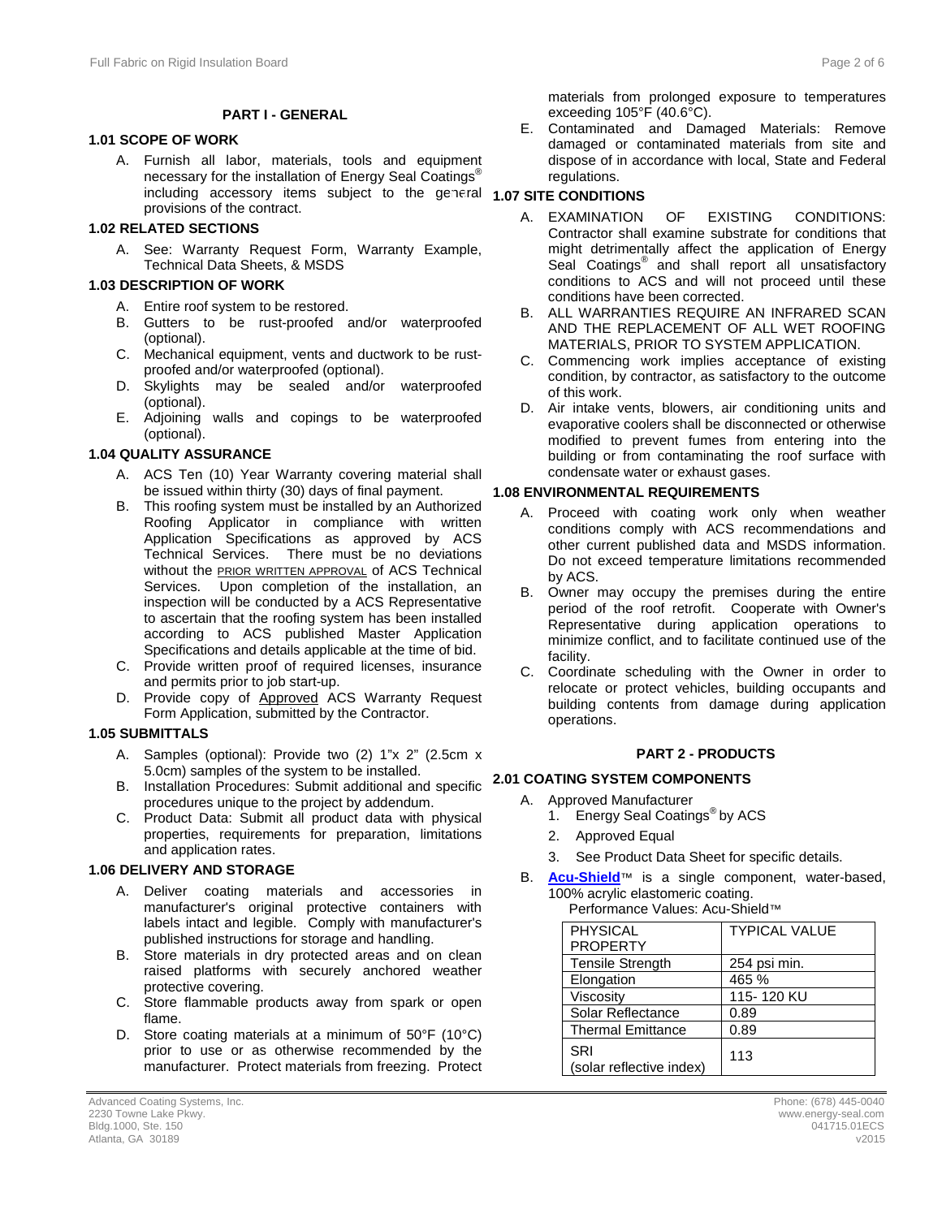#### **PART I - GENERAL**

### **1.1 1.01 SCOPE OF WORK**

A. Furnish all labor, materials, tools and equipment necessary for the installation of Energy Seal Coatings<sup>®</sup> including accessory items subject to the general **1.07 SITE CONDITIONS** provisions of the contract.

#### **1.2 1.02 RELATED SECTIONS**

A. See: Warranty Request Form, Warranty Example, Technical Data Sheets, & MSDS

### **1.3 1.03 DESCRIPTION OF WORK**

- A. Entire roof system to be restored.
- B. Gutters to be rust-proofed and/or waterproofed (optional).
- C. Mechanical equipment, vents and ductwork to be rustproofed and/or waterproofed (optional).
- D. Skylights may be sealed and/or waterproofed (optional).
- E. Adjoining walls and copings to be waterproofed (optional).

#### **1.4 1.04 QUALITY ASSURANCE**

- A. ACS Ten (10) Year Warranty covering material shall be issued within thirty (30) days of final payment.
- B. This roofing system must be installed by an Authorized Roofing Applicator in compliance with written Application Specifications as approved by ACS Technical Services. There must be no deviations without the **PRIOR WRITTEN APPROVAL** of ACS Technical Services. Upon completion of the installation, an inspection will be conducted by a ACS Representative to ascertain that the roofing system has been installed according to ACS published Master Application Specifications and details applicable at the time of bid.
- C. Provide written proof of required licenses, insurance and permits prior to job start-up.
- D. Provide copy of Approved ACS Warranty Request Form Application, submitted by the Contractor.

#### **1.5 1.05 SUBMITTALS**

- A. Samples (optional): Provide two (2) 1"x 2" (2.5cm x 5.0cm) samples of the system to be installed. 5.0cm) samples of the system to be installed.
- B. Installation Procedures: Submit additional and specific **2.1 2.01 COATING SYSTEM COMPONENTS** procedures unique to the project by addendum.
- C. Product Data: Submit all product data with physical properties, requirements for preparation, limitations and application rates.

#### **1.6 1.06 DELIVERY AND STORAGE**

- A. Deliver coating materials and accessories in manufacturer's original protective containers with labels intact and legible. Comply with manufacturer's published instructions for storage and handling.
- B. Store materials in dry protected areas and on clean raised platforms with securely anchored weather protective covering.
- C. Store flammable products away from spark or open flame.
- D. Store coating materials at a minimum of 50°F (10°C) prior to use or as otherwise recommended by the manufacturer. Protect materials from freezing. Protect

materials from prolonged exposure to temperatures exceeding 105°F (40.6°C).

E. Contaminated and Damaged Materials: Remove damaged or contaminated materials from site and dispose of in accordance with local, State and Federal regulations.

- A. EXAMINATION OF EXISTING CONDITIONS: Contractor shall examine substrate for conditions that might detrimentally affect the application of Energy Seal Coatings<sup>®</sup> and shall report all unsatisfactory conditions to ACS and will not proceed until these conditions have been corrected.
- B. ALL WARRANTIES REQUIRE AN INFRARED SCAN AND THE REPLACEMENT OF ALL WET ROOFING MATERIALS, PRIOR TO SYSTEM APPLICATION.
- C. Commencing work implies acceptance of existing condition, by contractor, as satisfactory to the outcome of this work.
- D. Air intake vents, blowers, air conditioning units and evaporative coolers shall be disconnected or otherwise modified to prevent fumes from entering into the building or from contaminating the roof surface with condensate water or exhaust gases.

#### **1.8 1.08 ENVIRONMENTAL REQUIREMENTS**

- A. Proceed with coating work only when weather conditions comply with ACS recommendations and other current published data and MSDS information. Do not exceed temperature limitations recommended by ACS.
- B. Owner may occupy the premises during the entire period of the roof retrofit. Cooperate with Owner's Representative during application operations to minimize conflict, and to facilitate continued use of the facility.
- C. Coordinate scheduling with the Owner in order to relocate or protect vehicles, building occupants and building contents from damage during application operations.

### **2 PART 2 - PRODUCTS**

- A. Approved Manufacturer
	- 1. Energy Seal Coatings<sup>®</sup> by ACS
	- 2. Approved Equal
	- 3. See Product Data Sheet for specific details.
- B. **[Acu-Shield](http://www.energy-seal.com/UserDyn/ACS/pdfs/acu-shield.pdf)**™ is a single component, water-based, 100% acrylic elastomeric coating. Performance Values: Acu-Shield™

| PHYSICAL                               | <b>TYPICAL VALUE</b> |  |
|----------------------------------------|----------------------|--|
| <b>PROPERTY</b>                        |                      |  |
| <b>Tensile Strength</b>                | 254 psi min.         |  |
| Elongation                             | 465 %                |  |
| Viscosity                              | 115-120 KU           |  |
| Solar Reflectance                      | 0.89                 |  |
| <b>Thermal Emittance</b>               | 0.89                 |  |
| <b>SRI</b><br>(solar reflective index) | 113                  |  |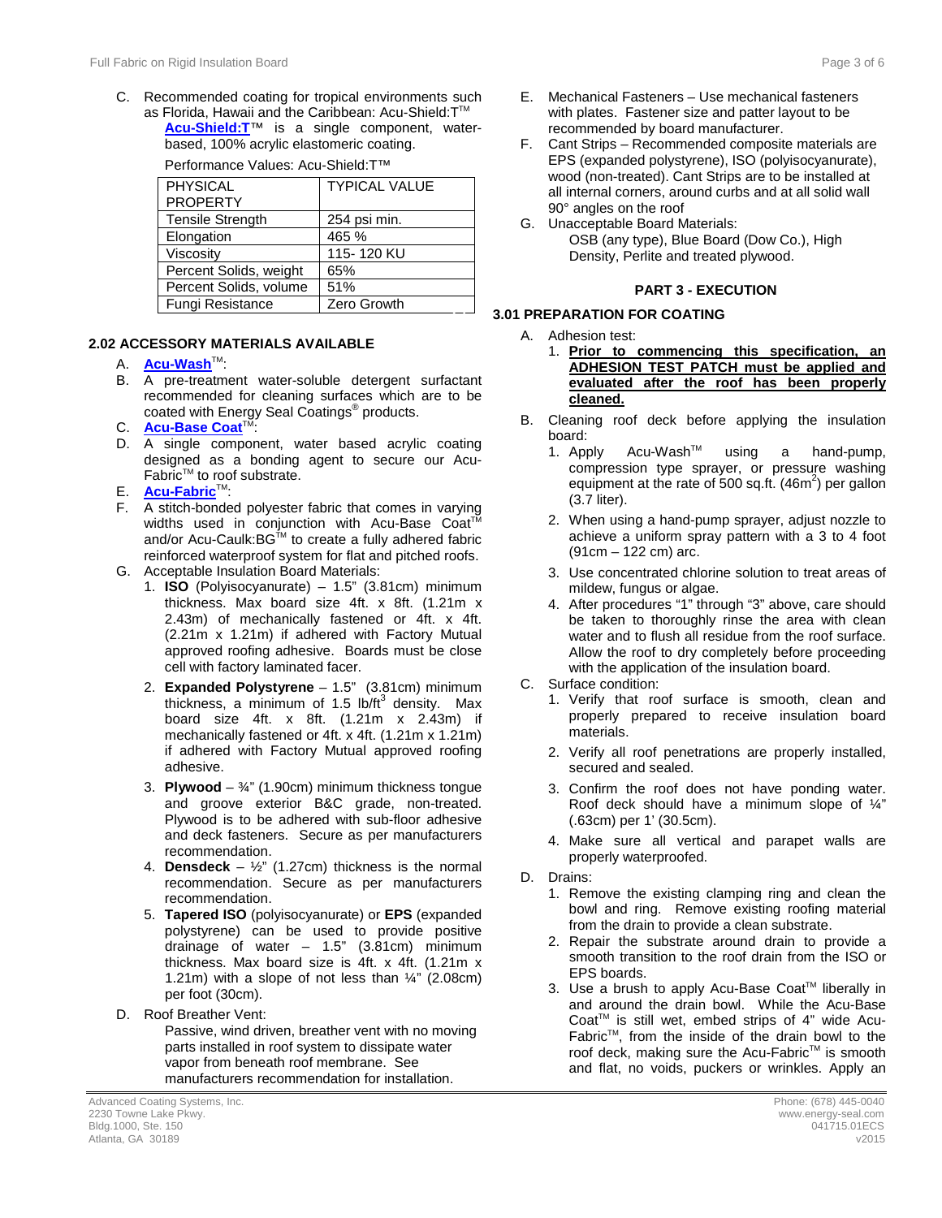C. Recommended coating for tropical environments such as Florida, Hawaii and the Caribbean: Acu-Shield:T™ **[Acu-Shield:T](http://www.energy-seal.com/UserDyn/ACS/pdfs/acu-shield-t.pdf)**™ is a single component, waterbased, 100% acrylic elastomeric coating.

| PHYSICAL                | <b>TYPICAL VALUE</b> |
|-------------------------|----------------------|
| <b>PROPERTY</b>         |                      |
| <b>Tensile Strength</b> | 254 psi min.         |
| Elongation              | 465 %                |
| Viscosity               | 115-120 KU           |
| Percent Solids, weight  | 65%                  |
| Percent Solids, volume  | 51%                  |
| Fungi Resistance        | Zero Growth          |

#### Performance Values: Acu-Shield:T™

#### **2.2 2.02 ACCESSORY MATERIALS AVAILABLE**

- A. **[Acu-Wash](http://www.energy-seal.com/UserDyn/ACS/pdfs/acu-wash.pdf)™:**
- B. A pre-treatment water-soluble detergent surfactant recommended for cleaning surfaces which are to be coated with Energy Seal Coatings® products.
- C. **[Acu-Base Coat](http://www.energy-seal.com/UserDyn/ACS/pdfs/acu-tac.pdf)<sup>TM</sup>**
- D. A single component, water based acrylic coating designed as a bonding agent to secure our Acu-Fabric<sup>™</sup> to roof substrate.
- E. **[Acu-Fabric](http://www.energy-seal.com/UserDyn/ACS/pdfs/acu-fabric-sb.pdf)**™:
- F. A stitch-bonded polyester fabric that comes in varying widths used in conjunction with Acu-Base Coat<sup>TM</sup> and/or Acu-Caulk: BG™ to create a fully adhered fabric reinforced waterproof system for flat and pitched roofs.
- G. Acceptable Insulation Board Materials:
	- 1. **ISO** (Polyisocyanurate) 1.5" (3.81cm) minimum thickness. Max board size 4ft. x 8ft. (1.21m x 2.43m) of mechanically fastened or 4ft. x 4ft. (2.21m x 1.21m) if adhered with Factory Mutual approved roofing adhesive. Boards must be close cell with factory laminated facer.
	- 2. **Expanded Polystyrene** 1.5" (3.81cm) minimum thickness, a minimum of 1.5 lb/ft<sup>3</sup> density. Max board size 4ft. x 8ft. (1.21m x 2.43m) if mechanically fastened or 4ft. x 4ft.  $(1.21m \times 1.21m)$ if adhered with Factory Mutual approved roofing adhesive.
	- 3. **Plywood**  $\frac{3}{4}$ " (1.90cm) minimum thickness tongue and groove exterior B&C grade, non-treated. Plywood is to be adhered with sub-floor adhesive and deck fasteners. Secure as per manufacturers recommendation.
	- 4. **Densdeck**  $\frac{1}{2}$ " (1.27cm) thickness is the normal recommendation. Secure as per manufacturers recommendation.
	- 5. **Tapered ISO** (polyisocyanurate) or **EPS** (expanded polystyrene) can be used to provide positive drainage of water  $-$  1.5" (3.81cm) minimum thickness. Max board size is 4ft. x 4ft. (1.21m x 1.21m) with a slope of not less than  $\frac{1}{4}$ " (2.08cm) per foot (30cm).
- D. Roof Breather Vent:

Passive, wind driven, breather vent with no moving parts installed in roof system to dissipate water vapor from beneath roof membrane. See manufacturers recommendation for installation.

- E. Mechanical Fasteners Use mechanical fasteners with plates. Fastener size and patter layout to be recommended by board manufacturer.
- F. Cant Strips Recommended composite materials are EPS (expanded polystyrene), ISO (polyisocyanurate), wood (non-treated). Cant Strips are to be installed at all internal corners, around curbs and at all solid wall 90° angles on the roof
- G. Unacceptable Board Materials: OSB (any type), Blue Board (Dow Co.), High Density, Perlite and treated plywood.

#### **3 PART 3 - EXECUTION**

#### **3.1 3.01 PREPARATION FOR COATING**

- A. Adhesion test:
	- 1. **Prior to commencing this specification, an ADHESION TEST PATCH must be applied and evaluated after the roof has been properly cleaned.**
- B. Cleaning roof deck before applying the insulation board:<br>1. Apply
	- $Acu-Wash^{\mathsf{TM}}$  using a hand-pump, compression type sprayer, or pressure washing equipment at the rate of 500 sq.ft.  $(46m^2)$  per gallon (3.7 liter).
	- 2. When using a hand-pump sprayer, adjust nozzle to achieve a uniform spray pattern with a 3 to 4 foot (91cm – 122 cm) arc.
	- 3. Use concentrated chlorine solution to treat areas of mildew, fungus or algae.
	- 4. After procedures "1" through "3" above, care should be taken to thoroughly rinse the area with clean water and to flush all residue from the roof surface. Allow the roof to dry completely before proceeding with the application of the insulation board.
- C. Surface condition:
	- 1. Verify that roof surface is smooth, clean and properly prepared to receive insulation board materials.
	- 2. Verify all roof penetrations are properly installed, secured and sealed.
	- 3. Confirm the roof does not have ponding water. Roof deck should have a minimum slope of ¼" (.63cm) per 1' (30.5cm).
	- 4. Make sure all vertical and parapet walls are properly waterproofed.
- D. Drains:
	- 1. Remove the existing clamping ring and clean the bowl and ring. Remove existing roofing material from the drain to provide a clean substrate.
	- 2. Repair the substrate around drain to provide a smooth transition to the roof drain from the ISO or EPS boards.
	- 3. Use a brush to apply Acu-Base Coat™ liberally in and around the drain bowl. While the Acu-Base Coat<sup>™</sup> is still wet, embed strips of  $4"$  wide Acu-FabricTM, from the inside of the drain bowl to the roof deck, making sure the Acu-Fabric™ is smooth and flat, no voids, puckers or wrinkles. Apply an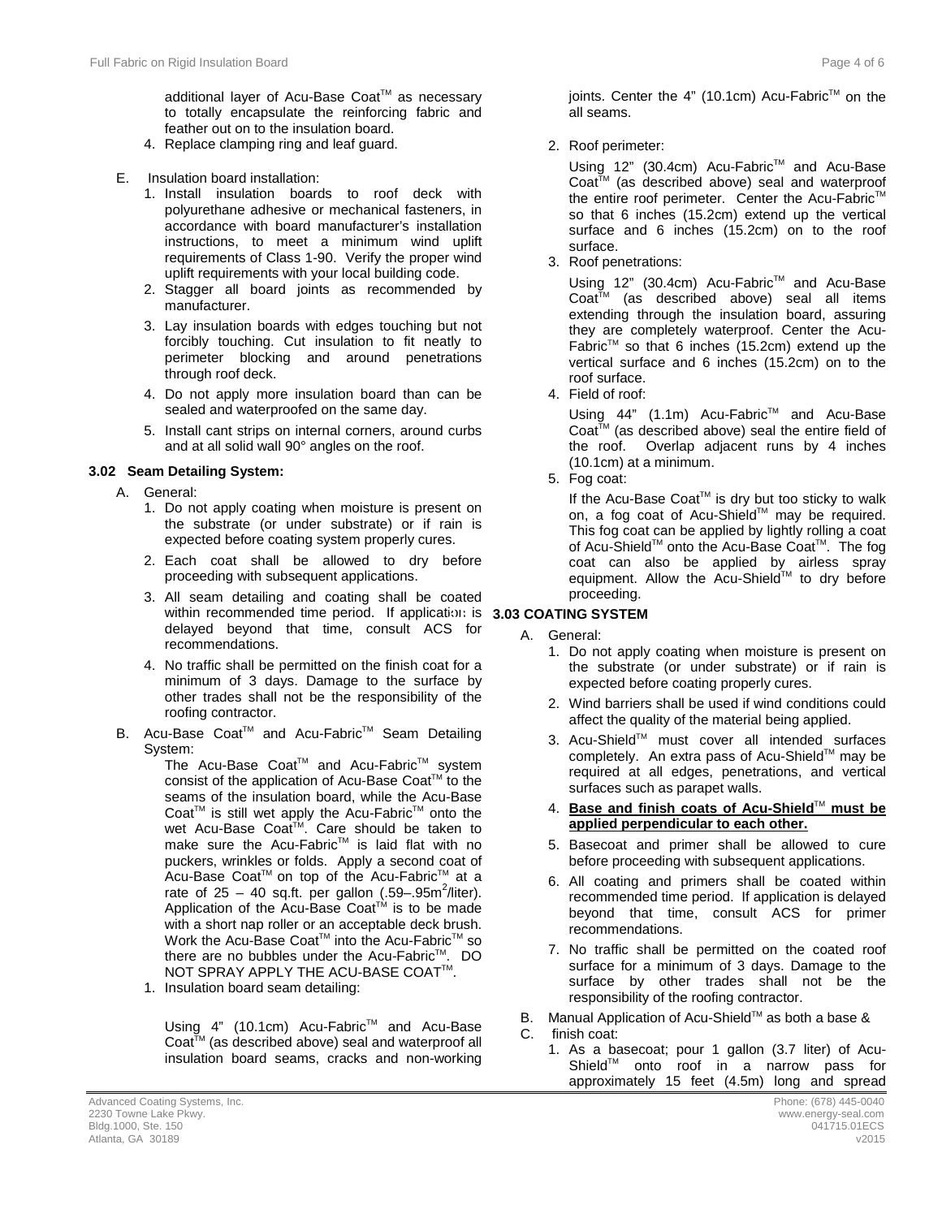additional layer of Acu-Base Coat™ as necessary to totally encapsulate the reinforcing fabric and feather out on to the insulation board.

- 4. Replace clamping ring and leaf guard.
- E. Insulation board installation:
	- 1. Install insulation boards to roof deck with polyurethane adhesive or mechanical fasteners, in accordance with board manufacturer's installation instructions, to meet a minimum wind uplift requirements of Class 1-90. Verify the proper wind uplift requirements with your local building code.
	- 2. Stagger all board joints as recommended by manufacturer.
	- 3. Lay insulation boards with edges touching but not forcibly touching. Cut insulation to fit neatly to perimeter blocking and around penetrations through roof deck.
	- 4. Do not apply more insulation board than can be sealed and waterproofed on the same day.
	- 5. Install cant strips on internal corners, around curbs and at all solid wall 90° angles on the roof.

### **3.2 3.02 Seam Detailing System:**

- A. General:
	- 1. Do not apply coating when moisture is present on the substrate (or under substrate) or if rain is expected before coating system properly cures.
	- 2. Each coat shall be allowed to dry before proceeding with subsequent applications.
	- 3. All seam detailing and coating shall be coated within recommended time period. If application is **3.03 COATING SYSTEM** delayed beyond that time, consult ACS for recommendations.
	- 4. No traffic shall be permitted on the finish coat for a minimum of 3 days. Damage to the surface by other trades shall not be the responsibility of the roofing contractor.
- B. Acu-Base Coat™ and Acu-Fabric<sup>™</sup> Seam Detailing System:

The Acu-Base Coat™ and Acu-Fabric™ system consist of the application of Acu-Base Coat<sup>™</sup> to the seams of the insulation board, while the Acu-Base Coat™ is still wet apply the Acu-Fabric™ onto the wet Acu-Base Coat™. Care should be taken to make sure the Acu-Fabric™ is laid flat with no puckers, wrinkles or folds. Apply a second coat of Acu-Base Coat<sup>™</sup> on top of the Acu-Fabric<sup>™</sup> at a rate of  $25 - 40$  sq.ft. per gallon (.59-.95m<sup>2</sup>/liter). Application of the Acu-Base Coat<sup>TM</sup> is to be made with a short nap roller or an acceptable deck brush. Work the Acu-Base Coat<sup>™</sup> into the Acu-Fabric<sup>™</sup> so there are no bubbles under the Acu-Fabric<sup>TM</sup>. DO NOT SPRAY APPLY THE ACU-BASE COAT™.

1. Insulation board seam detailing:

Using 4" (10.1cm) Acu-Fabric™ and Acu-Base  $\text{Coat}^{\text{TM}}$  (as described above) seal and waterproof all insulation board seams, cracks and non-working joints. Center the 4" (10.1cm) Acu-Fabric™ on the all seams.

2. Roof perimeter:

Using 12" (30.4cm) Acu-Fabric™ and Acu-Base  $Coat^{\mathsf{TM}}$  (as described above) seal and waterproof the entire roof perimeter. Center the Acu-Fabric<sup>™</sup> so that 6 inches (15.2cm) extend up the vertical surface and 6 inches (15.2cm) on to the roof surface.

3. Roof penetrations:

Using 12" (30.4cm) Acu-Fabric™ and Acu-Base Coat™ (as described above) seal all items extending through the insulation board, assuring they are completely waterproof. Center the Acu-Fabric<sup>™</sup> so that 6 inches (15.2cm) extend up the vertical surface and 6 inches (15.2cm) on to the roof surface.

4. Field of roof:

Using 44" (1.1m) Acu-Fabric<sup>™</sup> and Acu-Base Coat<sup>™</sup> (as described above) seal the entire field of the roof. Overlap adjacent runs by 4 inches (10.1cm) at a minimum.

5. Fog coat:

If the Acu-Base Coat™ is dry but too sticky to walk on, a fog coat of Acu-Shield™ may be required. This fog coat can be applied by lightly rolling a coat of Acu-Shield™ onto the Acu-Base Coat™. The fog coat can also be applied by airless spray equipment. Allow the Acu-Shield™ to dry before proceeding.

- A. General:
	- 1. Do not apply coating when moisture is present on the substrate (or under substrate) or if rain is expected before coating properly cures.
	- 2. Wind barriers shall be used if wind conditions could affect the quality of the material being applied.
	- 3. Acu-ShieldTM must cover all intended surfaces completely. An extra pass of Acu-Shield™ may be required at all edges, penetrations, and vertical surfaces such as parapet walls.
	- 4. **Base and finish coats of Acu-Shield**TM **must be applied perpendicular to each other.**
	- 5. Basecoat and primer shall be allowed to cure before proceeding with subsequent applications.
	- 6. All coating and primers shall be coated within recommended time period. If application is delayed beyond that time, consult ACS for primer recommendations.
	- 7. No traffic shall be permitted on the coated roof surface for a minimum of 3 days. Damage to the surface by other trades shall not be the responsibility of the roofing contractor.
- B. Manual Application of Acu-Shield™ as both a base & C. finish coat:
	- 1. As a basecoat; pour 1 gallon (3.7 liter) of Acu-Shield<sup>™</sup> onto roof in a narrow pass for approximately 15 feet (4.5m) long and spread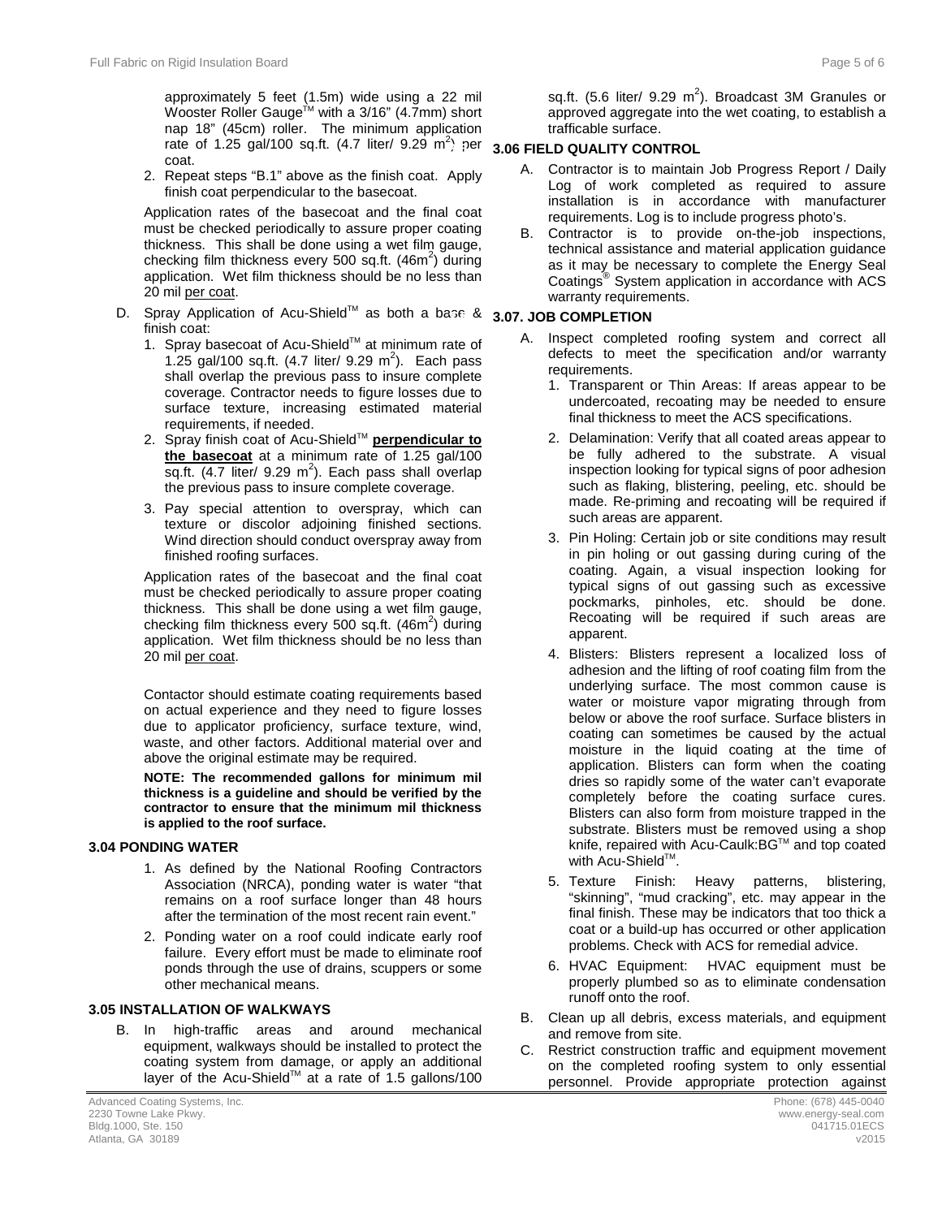approximately 5 feet (1.5m) wide using a 22 mil Wooster Roller Gauge<sup>™</sup> with a 3/16" (4.7mm) short nap 18" (45cm) roller. The minimum application rate of 1.25 gal/100 sq.ft. (4.7 liter/ 9.29 m<sup>2</sup> ) per **3.5 3.06 FIELD QUALITY CONTROL** coat.

2. Repeat steps "B.1" above as the finish coat. Apply finish coat perpendicular to the basecoat.

Application rates of the basecoat and the final coat must be checked periodically to assure proper coating thickness. This shall be done using a wet film gauge, checking film thickness every 500 sq.ft.  $(46m^2)$  during application. Wet film thickness should be no less than 20 mil per coat.

- D. Spray Application of Acu-Shield™ as both a base & **3.07. JOB COMPLETION** finish coat:
	- 1. Spray basecoat of Acu-Shield™ at minimum rate of 1.25 gal/100 sq.ft.  $(4.7 \text{ liter/ } 9.29 \text{ m}^2)$ . Each pass shall overlap the previous pass to insure complete coverage. Contractor needs to figure losses due to surface texture, increasing estimated material requirements, if needed.
	- 2. Spray finish coat of Acu-Shield<sup>™</sup> perpendicular to **the basecoat** at a minimum rate of 1.25 gal/100 sq.ft.  $(4.7$  liter/ 9.29 m<sup>2</sup>). Each pass shall overlap the previous pass to insure complete coverage.
	- 3. Pay special attention to overspray, which can texture or discolor adjoining finished sections. Wind direction should conduct overspray away from finished roofing surfaces.

Application rates of the basecoat and the final coat must be checked periodically to assure proper coating thickness. This shall be done using a wet film gauge, checking film thickness every 500 sq.ft. (46m<sup>2</sup>) during application. Wet film thickness should be no less than 20 mil per coat.

Contactor should estimate coating requirements based on actual experience and they need to figure losses due to applicator proficiency, surface texture, wind, waste, and other factors. Additional material over and above the original estimate may be required.

**NOTE: The recommended gallons for minimum mil thickness is a guideline and should be verified by the contractor to ensure that the minimum mil thickness is applied to the roof surface.** 

#### **3.4 3.04 PONDING WATER**

- 1. As defined by the National Roofing Contractors Association (NRCA), ponding water is water "that remains on a roof surface longer than 48 hours after the termination of the most recent rain event."
- 2. Ponding water on a roof could indicate early roof failure. Every effort must be made to eliminate roof ponds through the use of drains, scuppers or some other mechanical means.

## **3.05 INSTALLATION OF WALKWAYS**

B. In high-traffic areas and around mechanical equipment, walkways should be installed to protect the coating system from damage, or apply an additional layer of the Acu-Shield™ at a rate of 1.5 gallons/100

sq.ft. (5.6 liter/ 9.29  $m^2$ ). Broadcast 3M Granules or approved aggregate into the wet coating, to establish a trafficable surface.

- A. Contractor is to maintain Job Progress Report / Daily Log of work completed as required to assure installation is in accordance with manufacturer requirements. Log is to include progress photo's.
- B. Contractor is to provide on-the-job inspections, technical assistance and material application guidance as it may be necessary to complete the Energy Seal Coatings® System application in accordance with ACS warranty requirements.

- A. Inspect completed roofing system and correct all defects to meet the specification and/or warranty requirements.
	- 1. Transparent or Thin Areas: If areas appear to be undercoated, recoating may be needed to ensure final thickness to meet the ACS specifications.
	- 2. Delamination: Verify that all coated areas appear to be fully adhered to the substrate. A visual inspection looking for typical signs of poor adhesion such as flaking, blistering, peeling, etc. should be made. Re-priming and recoating will be required if such areas are apparent.
	- 3. Pin Holing: Certain job or site conditions may result in pin holing or out gassing during curing of the coating. Again, a visual inspection looking for typical signs of out gassing such as excessive pockmarks, pinholes, etc. should be done. Recoating will be required if such areas are apparent.
	- 4. Blisters: Blisters represent a localized loss of adhesion and the lifting of roof coating film from the underlying surface. The most common cause is water or moisture vapor migrating through from below or above the roof surface. Surface blisters in coating can sometimes be caused by the actual moisture in the liquid coating at the time of application. Blisters can form when the coating dries so rapidly some of the water can't evaporate completely before the coating surface cures. Blisters can also form from moisture trapped in the substrate. Blisters must be removed using a shop knife, repaired with Acu-Caulk:BG™ and top coated with Acu-Shield™.
	- 5. Texture Finish: Heavy patterns, blistering, "skinning", "mud cracking", etc. may appear in the final finish. These may be indicators that too thick a coat or a build-up has occurred or other application problems. Check with ACS for remedial advice.
	- 6. HVAC Equipment: HVAC equipment must be properly plumbed so as to eliminate condensation runoff onto the roof.
- B. Clean up all debris, excess materials, and equipment and remove from site.
- C. Restrict construction traffic and equipment movement on the completed roofing system to only essential personnel. Provide appropriate protection against